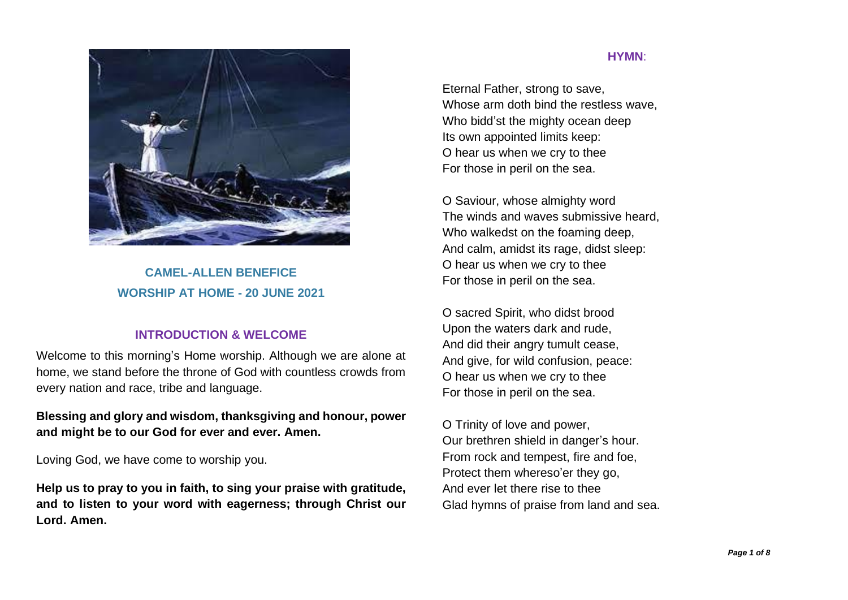

**CAMEL-ALLEN BENEFICE WORSHIP AT HOME - 20 JUNE 2021**

# **INTRODUCTION & WELCOME**

Welcome to this morning's Home worship. Although we are alone at home, we stand before the throne of God with countless crowds from every nation and race, tribe and language.

**Blessing and glory and wisdom, thanksgiving and honour, power and might be to our God for ever and ever. Amen.**

Loving God, we have come to worship you.

**Help us to pray to you in faith, to sing your praise with gratitude, and to listen to your word with eagerness; through Christ our Lord. Amen.**

#### **HYMN**:

Eternal Father, strong to save, Whose arm doth bind the restless wave, Who bidd'st the mighty ocean deep Its own appointed limits keep: O hear us when we cry to thee For those in peril on the sea.

O Saviour, whose almighty word The winds and waves submissive heard, Who walkedst on the foaming deep, And calm, amidst its rage, didst sleep: O hear us when we cry to thee For those in peril on the sea.

O sacred Spirit, who didst brood Upon the waters dark and rude, And did their angry tumult cease, And give, for wild confusion, peace: O hear us when we cry to thee For those in peril on the sea.

O Trinity of love and power, Our brethren shield in danger's hour. From rock and tempest, fire and foe, Protect them whereso'er they go, And ever let there rise to thee Glad hymns of praise from land and sea.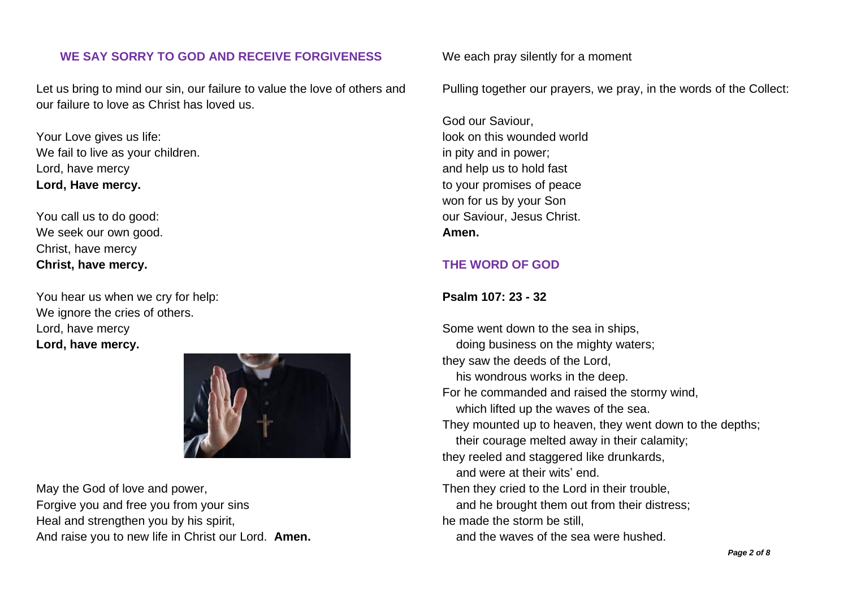# **WE SAY SORRY TO GOD AND RECEIVE FORGIVENESS**

Let us bring to mind our sin, our failure to value the love of others and our failure to love as Christ has loved us.

Your Love gives us life: We fail to live as your children. Lord, have mercy **Lord, Have mercy.**

You call us to do good: We seek our own good. Christ, have mercy **Christ, have mercy.**

You hear us when we cry for help: We ignore the cries of others. Lord, have mercy **Lord, have mercy.**

May the God of love and power, Forgive you and free you from your sins Heal and strengthen you by his spirit, And raise you to new life in Christ our Lord. **Amen.** We each pray silently for a moment

Pulling together our prayers, we pray, in the words of the Collect:

God our Saviour, look on this wounded world in pity and in power; and help us to hold fast to your promises of peace won for us by your Son our Saviour, Jesus Christ. **Amen.**

# **THE WORD OF GOD**

#### **Psalm 107: 23 - 32**

Some went down to the sea in ships, doing business on the mighty waters; they saw the deeds of the Lord, his wondrous works in the deep. For he commanded and raised the stormy wind, which lifted up the waves of the sea. They mounted up to heaven, they went down to the depths; their courage melted away in their calamity; they reeled and staggered like drunkards, and were at their wits' end. Then they cried to the Lord in their trouble, and he brought them out from their distress; he made the storm be still, and the waves of the sea were hushed.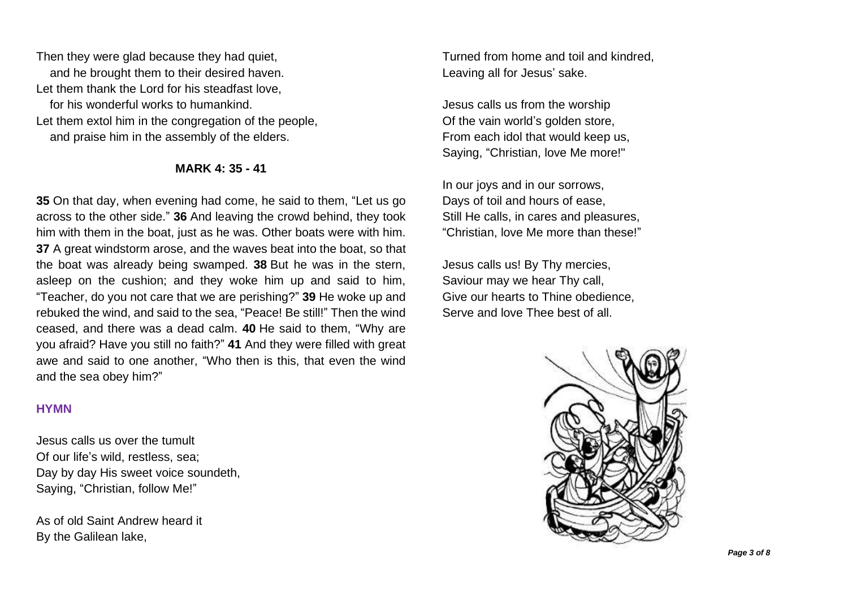Then they were glad because they had quiet, and he brought them to their desired haven. Let them thank the Lord for his steadfast love, for his wonderful works to humankind. Let them extol him in the congregation of the people, and praise him in the assembly of the elders.

## **MARK 4: 35 - 41**

**35** On that day, when evening had come, he said to them, "Let us go across to the other side." **36** And leaving the crowd behind, they took him with them in the boat, just as he was. Other boats were with him. **37** A great windstorm arose, and the waves beat into the boat, so that the boat was already being swamped. **38** But he was in the stern, asleep on the cushion; and they woke him up and said to him, "Teacher, do you not care that we are perishing?" **39** He woke up and rebuked the wind, and said to the sea, "Peace! Be still!" Then the wind ceased, and there was a dead calm. **40** He said to them, "Why are you afraid? Have you still no faith?" **41** And they were filled with great awe and said to one another, "Who then is this, that even the wind and the sea obey him?"

## **HYMN**

Jesus calls us over the tumult Of our life's wild, restless, sea; Day by day His sweet voice soundeth, Saying, "Christian, follow Me!"

As of old Saint Andrew heard it By the Galilean lake,

Turned from home and toil and kindred, Leaving all for Jesus' sake.

Jesus calls us from the worship Of the vain world's golden store, From each idol that would keep us, Saying, "Christian, love Me more!"

In our joys and in our sorrows, Days of toil and hours of ease, Still He calls, in cares and pleasures, "Christian, love Me more than these!"

Jesus calls us! By Thy mercies, Saviour may we hear Thy call, Give our hearts to Thine obedience, Serve and love Thee best of all.

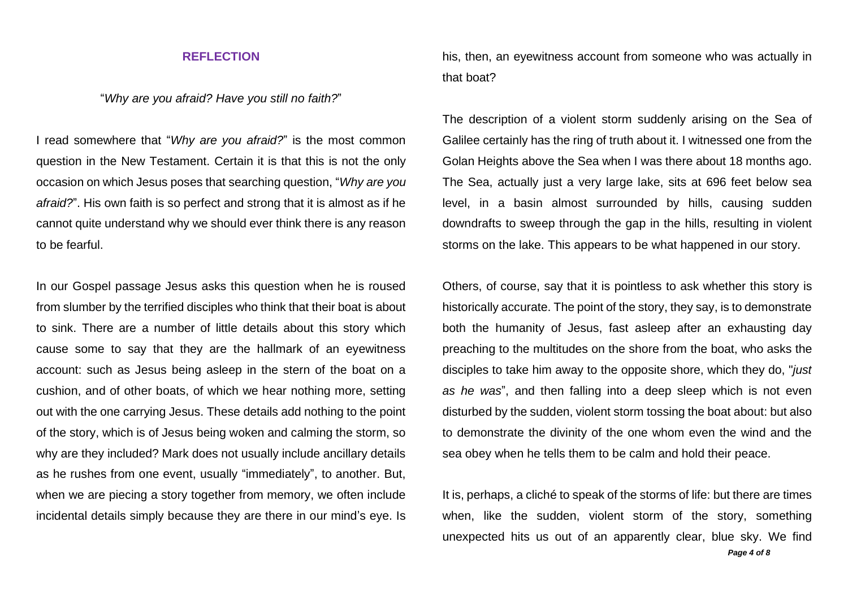#### **REFLECTION**

"*Why are you afraid? Have you still no faith?*"

I read somewhere that "*Why are you afraid?*" is the most common question in the New Testament. Certain it is that this is not the only occasion on which Jesus poses that searching question, "*Why are you afraid?*". His own faith is so perfect and strong that it is almost as if he cannot quite understand why we should ever think there is any reason to be fearful.

In our Gospel passage Jesus asks this question when he is roused from slumber by the terrified disciples who think that their boat is about to sink. There are a number of little details about this story which cause some to say that they are the hallmark of an eyewitness account: such as Jesus being asleep in the stern of the boat on a cushion, and of other boats, of which we hear nothing more, setting out with the one carrying Jesus. These details add nothing to the point of the story, which is of Jesus being woken and calming the storm, so why are they included? Mark does not usually include ancillary details as he rushes from one event, usually "immediately", to another. But, when we are piecing a story together from memory, we often include incidental details simply because they are there in our mind's eye. Is his, then, an eyewitness account from someone who was actually in that boat?

The description of a violent storm suddenly arising on the Sea of Galilee certainly has the ring of truth about it. I witnessed one from the Golan Heights above the Sea when I was there about 18 months ago. The Sea, actually just a very large lake, sits at 696 feet below sea level, in a basin almost surrounded by hills, causing sudden downdrafts to sweep through the gap in the hills, resulting in violent storms on the lake. This appears to be what happened in our story.

Others, of course, say that it is pointless to ask whether this story is historically accurate. The point of the story, they say, is to demonstrate both the humanity of Jesus, fast asleep after an exhausting day preaching to the multitudes on the shore from the boat, who asks the disciples to take him away to the opposite shore, which they do, "*just as he was*", and then falling into a deep sleep which is not even disturbed by the sudden, violent storm tossing the boat about: but also to demonstrate the divinity of the one whom even the wind and the sea obey when he tells them to be calm and hold their peace.

*Page 4 of 8* It is, perhaps, a cliché to speak of the storms of life: but there are times when, like the sudden, violent storm of the story, something unexpected hits us out of an apparently clear, blue sky. We find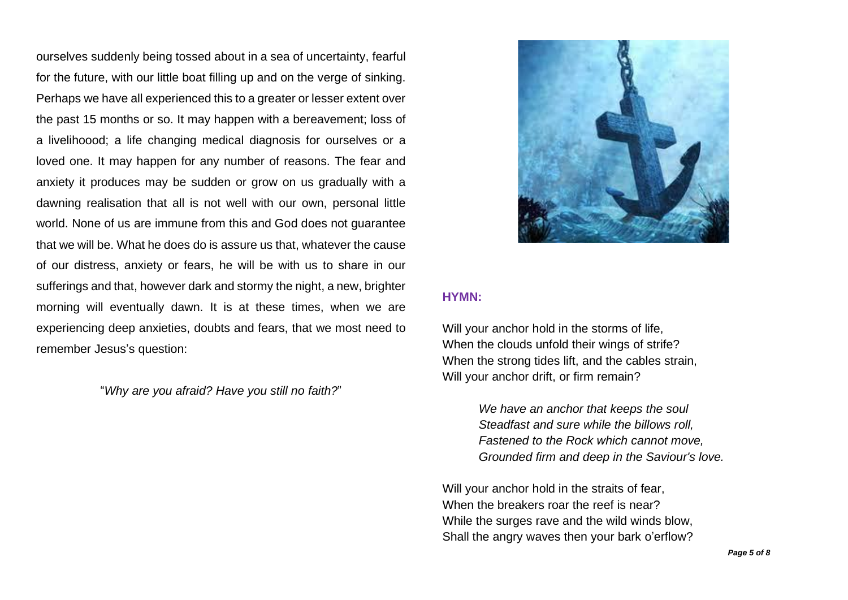ourselves suddenly being tossed about in a sea of uncertainty, fearful for the future, with our little boat filling up and on the verge of sinking. Perhaps we have all experienced this to a greater or lesser extent over the past 15 months or so. It may happen with a bereavement; loss of a livelihoood; a life changing medical diagnosis for ourselves or a loved one. It may happen for any number of reasons. The fear and anxiety it produces may be sudden or grow on us gradually with a dawning realisation that all is not well with our own, personal little world. None of us are immune from this and God does not guarantee that we will be. What he does do is assure us that, whatever the cause of our distress, anxiety or fears, he will be with us to share in our sufferings and that, however dark and stormy the night, a new, brighter morning will eventually dawn. It is at these times, when we are experiencing deep anxieties, doubts and fears, that we most need to remember Jesus's question:

"*Why are you afraid? Have you still no faith?*"



#### **HYMN:**

Will your anchor hold in the storms of life, When the clouds unfold their wings of strife? When the strong tides lift, and the cables strain, Will your anchor drift, or firm remain?

> *We have an anchor that keeps the soul Steadfast and sure while the billows roll, Fastened to the Rock which cannot move, Grounded firm and deep in the Saviour's love.*

Will your anchor hold in the straits of fear, When the breakers roar the reef is near? While the surges rave and the wild winds blow, Shall the angry waves then your bark o'erflow?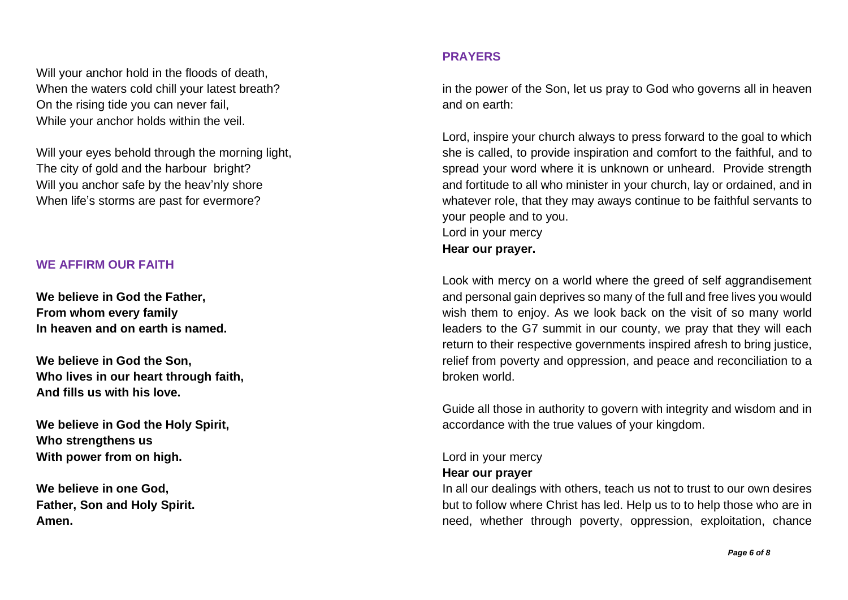Will your anchor hold in the floods of death, When the waters cold chill your latest breath? On the rising tide you can never fail, While your anchor holds within the veil.

Will your eyes behold through the morning light, The city of gold and the harbour bright? Will you anchor safe by the heav'nly shore When life's storms are past for evermore?

# **WE AFFIRM OUR FAITH**

**We believe in God the Father, From whom every family In heaven and on earth is named.**

**We believe in God the Son, Who lives in our heart through faith, And fills us with his love.**

**We believe in God the Holy Spirit, Who strengthens us With power from on high.**

**We believe in one God, Father, Son and Holy Spirit. Amen.**

# **PRAYERS**

in the power of the Son, let us pray to God who governs all in heaven and on earth:

Lord, inspire your church always to press forward to the goal to which she is called, to provide inspiration and comfort to the faithful, and to spread your word where it is unknown or unheard. Provide strength and fortitude to all who minister in your church, lay or ordained, and in whatever role, that they may aways continue to be faithful servants to your people and to you. Lord in your mercy **Hear our prayer.**

Look with mercy on a world where the greed of self aggrandisement and personal gain deprives so many of the full and free lives you would wish them to enjoy. As we look back on the visit of so many world leaders to the G7 summit in our county, we pray that they will each return to their respective governments inspired afresh to bring justice, relief from poverty and oppression, and peace and reconciliation to a broken world.

Guide all those in authority to govern with integrity and wisdom and in accordance with the true values of your kingdom.

# Lord in your mercy

# **Hear our prayer**

In all our dealings with others, teach us not to trust to our own desires but to follow where Christ has led. Help us to to help those who are in need, whether through poverty, oppression, exploitation, chance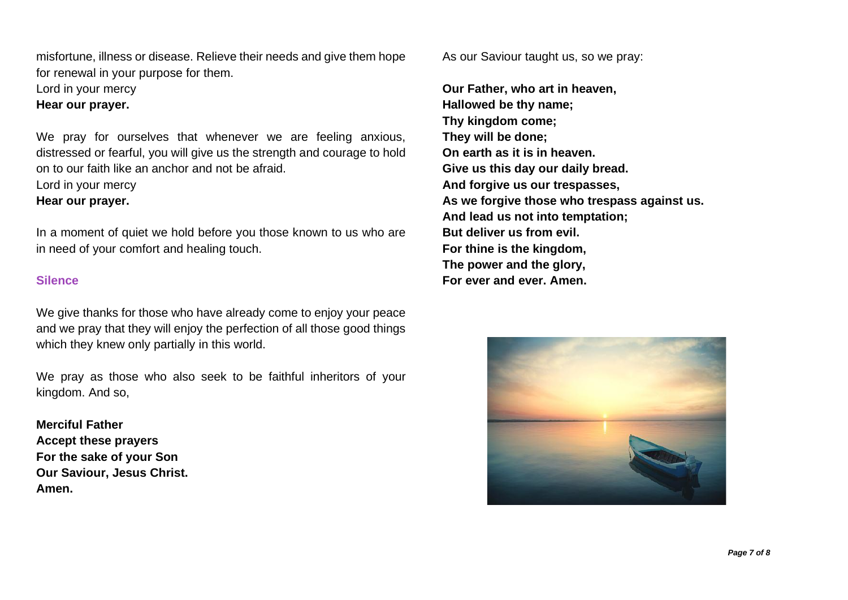misfortune, illness or disease. Relieve their needs and give them hope for renewal in your purpose for them.

Lord in your mercy

**Hear our prayer.**

We pray for ourselves that whenever we are feeling anxious, distressed or fearful, you will give us the strength and courage to hold on to our faith like an anchor and not be afraid.

Lord in your mercy

# **Hear our prayer.**

In a moment of quiet we hold before you those known to us who are in need of your comfort and healing touch.

## **Silence**

We give thanks for those who have already come to enjoy your peace and we pray that they will enjoy the perfection of all those good things which they knew only partially in this world.

We pray as those who also seek to be faithful inheritors of your kingdom. And so,

**Merciful Father Accept these prayers For the sake of your Son Our Saviour, Jesus Christ. Amen.**

As our Saviour taught us, so we pray:

**Our Father, who art in heaven, Hallowed be thy name; Thy kingdom come; They will be done; On earth as it is in heaven. Give us this day our daily bread. And forgive us our trespasses, As we forgive those who trespass against us. And lead us not into temptation; But deliver us from evil. For thine is the kingdom, The power and the glory, For ever and ever. Amen.**